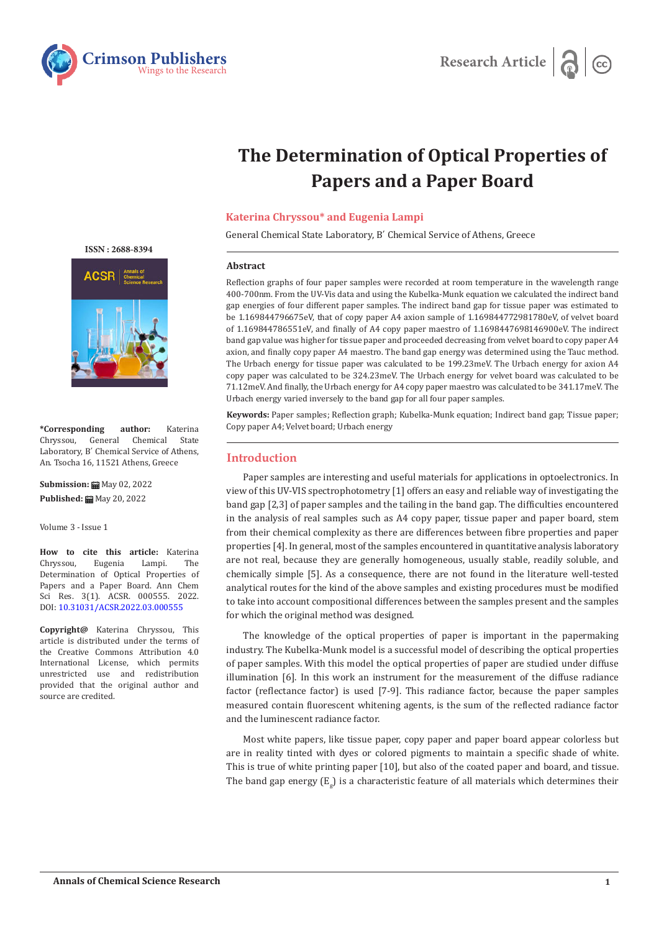



# **The Determination of Optical Properties of Papers and a Paper Board**

## **Katerina Chryssou\* and Eugenia Lampi**

General Chemical State Laboratory, Β΄ Chemical Service of Athens, Greece

#### **Abstract**

Reflection graphs of four paper samples were recorded at room temperature in the wavelength range 400-700nm. From the UV-Vis data and using the Kubelka-Munk equation we calculated the indirect band gap energies of four different paper samples. The indirect band gap for tissue paper was estimated to be 1.169844796675eV, that of copy paper A4 axion sample of 1.169844772981780eV, of velvet board of 1.169844786551eV, and finally of Α4 copy paper maestro of 1.1698447698146900eV. The indirect band gap value was higher for tissue paper and proceeded decreasing from velvet board to copy paper A4 axion, and finally copy paper A4 maestro. The band gap energy was determined using the Tauc method. The Urbach energy for tissue paper was calculated to be 199.23meV. The Urbach energy for axion Α4 copy paper was calculated to be 324.23meV. The Urbach energy for velvet board was calculated to be 71.12meV. And finally, the Urbach energy for Α4 copy paper maestro was calculated to be 341.17meV. The Urbach energy varied inversely to the band gap for all four paper samples.

**Keywords:** Paper samples; Reflection graph; Kubelka-Munk equation; Indirect band gap; Tissue paper; Copy paper A4; Velvet board; Urbach energy

# **Introduction**

Paper samples are interesting and useful materials for applications in optoelectronics. In view of this UV-VIS spectrophotometry [1] offers an easy and reliable way of investigating the band gap [2,3] of paper samples and the tailing in the band gap. The difficulties encountered in the analysis of real samples such as A4 copy paper, tissue paper and paper board, stem from their chemical complexity as there are differences between fibre properties and paper properties [4]. In general, most of the samples encountered in quantitative analysis laboratory are not real, because they are generally homogeneous, usually stable, readily soluble, and chemically simple [5]. As a consequence, there are not found in the literature well-tested analytical routes for the kind of the above samples and existing procedures must be modified to take into account compositional differences between the samples present and the samples for which the original method was designed.

The knowledge of the optical properties of paper is important in the papermaking industry. The Kubelka-Munk model is a successful model of describing the optical properties of paper samples. With this model the optical properties of paper are studied under diffuse illumination [6]. In this work an instrument for the measurement of the diffuse radiance factor (reflectance factor) is used [7-9]. This radiance factor, because the paper samples measured contain fluorescent whitening agents, is the sum of the reflected radiance factor and the luminescent radiance factor.

Most white papers, like tissue paper, copy paper and paper board appear colorless but are in reality tinted with dyes or colored pigments to maintain a specific shade of white. This is true of white printing paper [10], but also of the coated paper and board, and tissue. The band gap energy  $(\mathtt{E}_\mathtt{g})$  is a characteristic feature of all materials which determines their

 **ISSN : 2688-8394**



**\*Corresponding author:** Katerina Chemical Laboratory, Β΄ Chemical Service of Athens, An. Tsocha 16, 11521 Athens, Greece

**Submission:** May 02, 2022 Published: **■** May 20, 2022

Volume 3 - Issue 1

**How to cite this article:** Katerina Eugenia Determination of Optical Properties of Papers and a Paper Board. Ann Chem Sci Res. 3(1). ACSR. 000555. 2022. DOI: [10.31031/ACSR.2022.03.000555](http://dx.doi.org/10.31031/ACSR.2022.03.000555)

**Copyright@** Katerina Chryssou, This article is distributed under the terms of the Creative Commons Attribution 4.0 International License, which permits unrestricted use and redistribution provided that the original author and source are credited.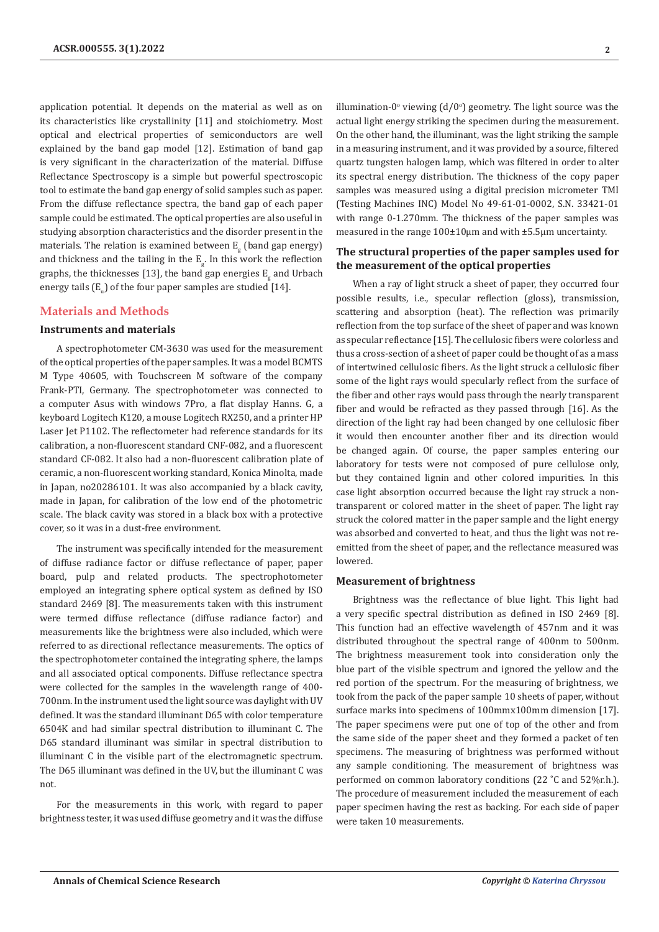application potential. It depends on the material as well as on its characteristics like crystallinity [11] and stoichiometry. Most optical and electrical properties of semiconductors are well explained by the band gap model [12]. Estimation of band gap is very significant in the characterization of the material. Diffuse Reflectance Spectroscopy is a simple but powerful spectroscopic tool to estimate the band gap energy of solid samples such as paper. From the diffuse reflectance spectra, the band gap of each paper sample could be estimated. The optical properties are also useful in studying absorption characteristics and the disorder present in the materials. The relation is examined between  $\mathtt{E_g}$  (band gap energy) and thickness and the tailing in the  $E_{\rm g}$ . In this work the reflection graphs, the thicknesses [13], the band gap energies  $E_{g}^{}$  and Urbach energy tails ( $\text{E}_{_\text{u}}$ ) of the four paper samples are studied [14].

## **Materials and Methods**

#### **Instruments and materials**

A spectrophotometer CM-3630 was used for the measurement of the optical properties of the paper samples. It was a model BCMTS M Type 40605, with Touchscreen M software of the company Frank-PTI, Germany. The spectrophotometer was connected to a computer Asus with windows 7Pro, a flat display Hanns. G, a keyboard Logitech K120, a mouse Logitech RX250, and a printer HP Laser Jet P1102. The reflectometer had reference standards for its calibration, a non-fluorescent standard CNF-082, and a fluorescent standard CF-082. It also had a non-fluorescent calibration plate of ceramic, a non-fluorescent working standard, Konica Minolta, made in Japan, no20286101. It was also accompanied by a black cavity, made in Japan, for calibration of the low end of the photometric scale. The black cavity was stored in a black box with a protective cover, so it was in a dust-free environment.

The instrument was specifically intended for the measurement of diffuse radiance factor or diffuse reflectance of paper, paper board, pulp and related products. The spectrophotometer employed an integrating sphere optical system as defined by ISO standard 2469 [8]. The measurements taken with this instrument were termed diffuse reflectance (diffuse radiance factor) and measurements like the brightness were also included, which were referred to as directional reflectance measurements. The optics of the spectrophotometer contained the integrating sphere, the lamps and all associated optical components. Diffuse reflectance spectra were collected for the samples in the wavelength range of 400- 700nm. In the instrument used the light source was daylight with UV defined. It was the standard illuminant D65 with color temperature 6504K and had similar spectral distribution to illuminant C. The D65 standard illuminant was similar in spectral distribution to illuminant C in the visible part of the electromagnetic spectrum. The D65 illuminant was defined in the UV, but the illuminant C was not.

For the measurements in this work, with regard to paper brightness tester, it was used diffuse geometry and it was the diffuse illumination-0 $^{\circ}$  viewing (d/0 $^{\circ}$ ) geometry. The light source was the actual light energy striking the specimen during the measurement. On the other hand, the illuminant, was the light striking the sample in a measuring instrument, and it was provided by a source, filtered quartz tungsten halogen lamp, which was filtered in order to alter its spectral energy distribution. The thickness of the copy paper samples was measured using a digital precision micrometer TMI (Testing Machines INC) Model No 49-61-01-0002, S.N. 33421-01 with range 0-1.270mm. The thickness of the paper samples was measured in the range 100±10μm and with ±5.5μm uncertainty.

## **The structural properties of the paper samples used for the measurement of the optical properties**

When a ray of light struck a sheet of paper, they occurred four possible results, i.e., specular reflection (gloss), transmission, scattering and absorption (heat). The reflection was primarily reflection from the top surface of the sheet of paper and was known as specular reflectance [15]. The cellulosic fibers were colorless and thus a cross-section of a sheet of paper could be thought of as a mass of intertwined cellulosic fibers. As the light struck a cellulosic fiber some of the light rays would specularly reflect from the surface of the fiber and other rays would pass through the nearly transparent fiber and would be refracted as they passed through [16]. As the direction of the light ray had been changed by one cellulosic fiber it would then encounter another fiber and its direction would be changed again. Of course, the paper samples entering our laboratory for tests were not composed of pure cellulose only, but they contained lignin and other colored impurities. In this case light absorption occurred because the light ray struck a nontransparent or colored matter in the sheet of paper. The light ray struck the colored matter in the paper sample and the light energy was absorbed and converted to heat, and thus the light was not reemitted from the sheet of paper, and the reflectance measured was lowered.

#### **Measurement of brightness**

Brightness was the reflectance of blue light. This light had a very specific spectral distribution as defined in ISO 2469 [8]. This function had an effective wavelength of 457nm and it was distributed throughout the spectral range of 400nm to 500nm. The brightness measurement took into consideration only the blue part of the visible spectrum and ignored the yellow and the red portion of the spectrum. For the measuring of brightness, we took from the pack of the paper sample 10 sheets of paper, without surface marks into specimens of 100mmx100mm dimension [17]. The paper specimens were put one of top of the other and from the same side of the paper sheet and they formed a packet of ten specimens. The measuring of brightness was performed without any sample conditioning. The measurement of brightness was performed on common laboratory conditions (22 ˚C and 52%r.h.). The procedure of measurement included the measurement of each paper specimen having the rest as backing. For each side of paper were taken 10 measurements.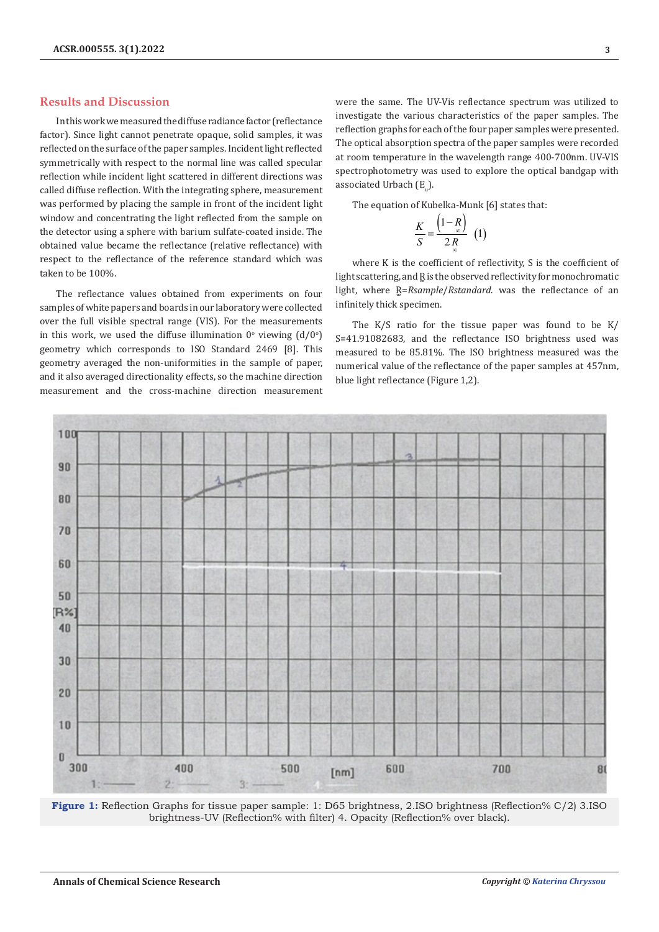## **Results and Discussion**

In this work we measured the diffuse radiance factor (reflectance factor). Since light cannot penetrate opaque, solid samples, it was reflected on the surface of the paper samples. Incident light reflected symmetrically with respect to the normal line was called specular reflection while incident light scattered in different directions was called diffuse reflection. With the integrating sphere, measurement was performed by placing the sample in front of the incident light window and concentrating the light reflected from the sample on the detector using a sphere with barium sulfate-coated inside. The obtained value became the reflectance (relative reflectance) with respect to the reflectance of the reference standard which was taken to be 100%.

The reflectance values obtained from experiments on four samples of white papers and boards in our laboratory were collected over the full visible spectral range (VIS). For the measurements in this work, we used the diffuse illumination  $0^{\circ}$  viewing  $(d/0^{\circ})$ geometry which corresponds to ISO Standard 2469 [8]. This geometry averaged the non-uniformities in the sample of paper, and it also averaged directionality effects, so the machine direction measurement and the cross-machine direction measurement were the same. The UV-Vis reflectance spectrum was utilized to investigate the various characteristics of the paper samples. The reflection graphs for each of the four paper samples were presented. The optical absorption spectra of the paper samples were recorded at room temperature in the wavelength range 400-700nm. UV-VIS spectrophotometry was used to explore the optical bandgap with associated Urbach (E<sub>u</sub>).

The equation of Kubelka-Munk [6] states that:

$$
\frac{K}{S} = \frac{\left(1 - \frac{R}{\infty}\right)}{2 \frac{R}{\infty}} \quad (1)
$$

where K is the coefficient of reflectivity, S is the coefficient of light scattering, and R is the observed reflectivity for monochromatic light, where R=Rsample/Rstandard. was the reflectance of an infinitely thick specimen.

The K/S ratio for the tissue paper was found to be K/ S=41.91082683, and the reflectance ISO brightness used was measured to be 85.81%. The ISO brightness measured was the numerical value of the reflectance of the paper samples at 457nm, blue light reflectance (Figure 1,2).



**Figure 1:** Reflection Graphs for tissue paper sample: 1: D65 brightness, 2.ISO brightness (Reflection% C/2) 3.ISO brightness-UV (Reflection% with filter) 4. Opacity (Reflection% over black).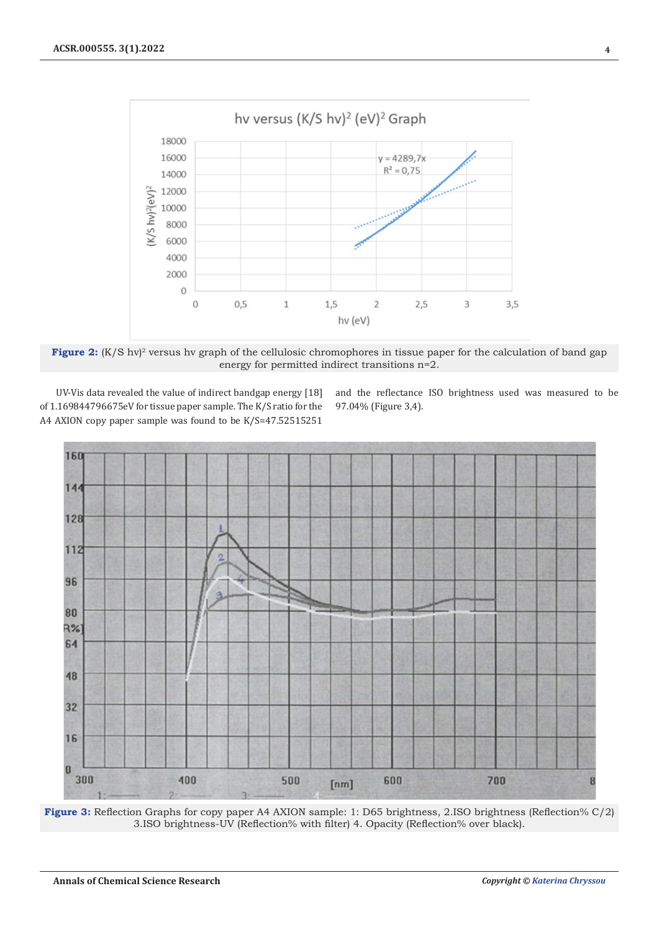

Figure 2: (K/S hv)<sup>2</sup> versus hv graph of the cellulosic chromophores in tissue paper for the calculation of band gap energy for permitted indirect transitions n=2.

UV-Vis data revealed the value of indirect bandgap energy [18] of 1.169844796675eV for tissue paper sample. The K/S ratio for the A4 AXION copy paper sample was found to be K/S=47.52515251

and the reflectance ISO brightness used was measured to be 97.04% (Figure 3,4).



**Figure 3:** Reflection Graphs for copy paper A4 AXION sample: 1: D65 brightness, 2.ISO brightness (Reflection% C/2) 3.ISO brightness-UV (Reflection% with filter) 4. Opacity (Reflection% over black).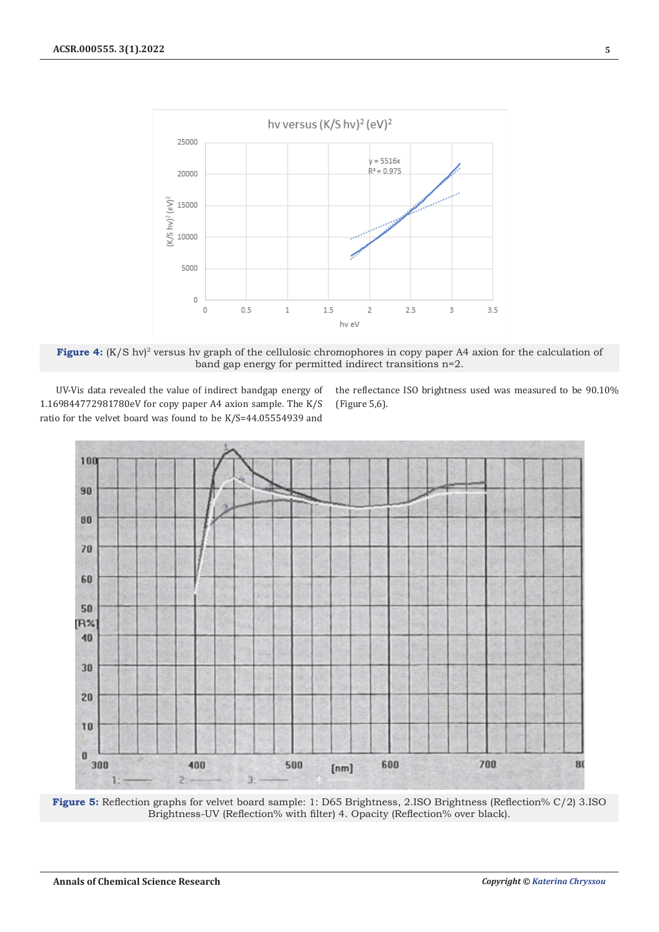

**Figure 4:** (K/S hv)<sup>2</sup> versus hv graph of the cellulosic chromophores in copy paper A4 axion for the calculation of band gap energy for permitted indirect transitions n=2.

UV-Vis data revealed the value of indirect bandgap energy of 1.169844772981780eV for copy paper A4 axion sample. The K/S ratio for the velvet board was found to be K/S=44.05554939 and

the reflectance ISO brightness used was measured to be 90.10% (Figure 5,6).



**Figure 5:** Reflection graphs for velvet board sample: 1: D65 Brightness, 2.ISO Brightness (Reflection% C/2) 3.ISO Brightness-UV (Reflection% with filter) 4. Opacity (Reflection% over black).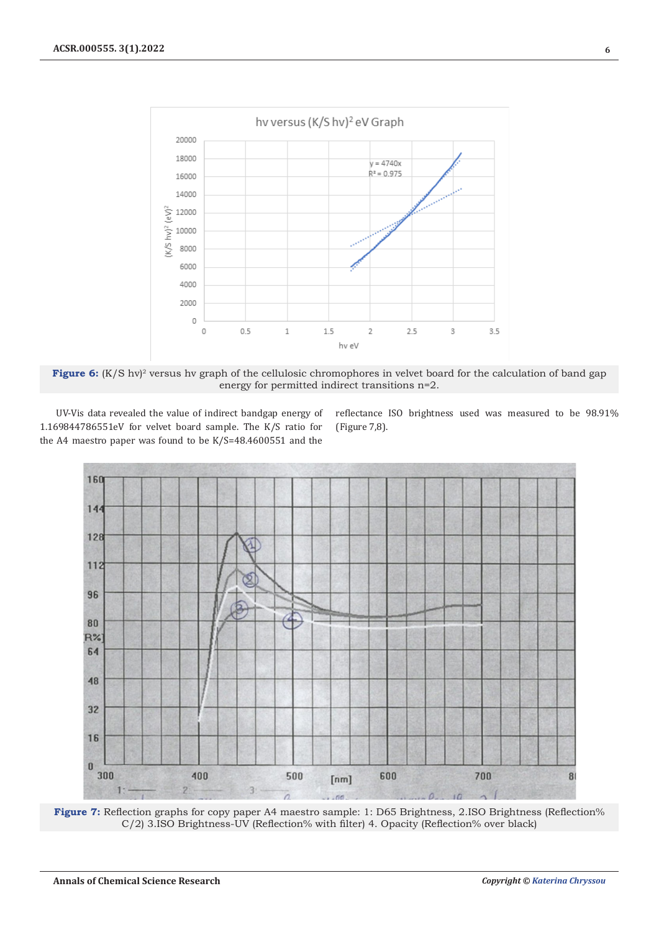

Figure 6: (K/S hv)<sup>2</sup> versus hv graph of the cellulosic chromophores in velvet board for the calculation of band gap energy for permitted indirect transitions n=2.

UV-Vis data revealed the value of indirect bandgap energy of 1.169844786551eV for velvet board sample. The K/S ratio for the A4 maestro paper was found to be K/S=48.4600551 and the

reflectance ISO brightness used was measured to be 98.91% (Figure 7,8).



Figure 7: Reflection graphs for copy paper A4 maestro sample: 1: D65 Brightness, 2.ISO Brightness (Reflection% C/2) 3.ISO Brightness-UV (Reflection% with filter) 4. Opacity (Reflection% over black)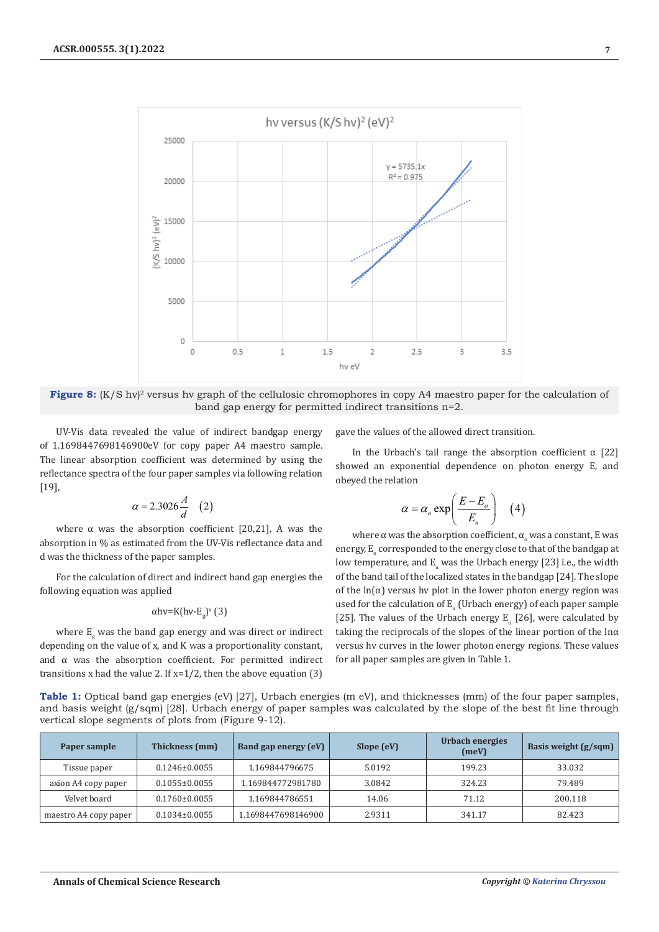

**Figure 8:** (K/S hv)<sup>2</sup> versus hv graph of the cellulosic chromophores in copy A4 maestro paper for the calculation of band gap energy for permitted indirect transitions n=2.

UV-Vis data revealed the value of indirect bandgap energy of 1.1698447698146900eV for copy paper A4 maestro sample. The linear absorption coefficient was determined by using the reflectance spectra of the four paper samples via following relation [19],

$$
\alpha = 2.3026 \frac{A}{d} \quad (2)
$$

where  $\alpha$  was the absorption coefficient [20,21], A was the absorption in % as estimated from the UV-Vis reflectance data and d was the thickness of the paper samples.

For the calculation of direct and indirect band gap energies the following equation was applied

# αhv=K(hv-E<sub>g</sub>)<sup>x</sup> (3)

where  $E_{\rm g}$  was the band gap energy and was direct or indirect depending on the value of x, and K was a proportionality constant, and  $\alpha$  was the absorption coefficient. For permitted indirect transitions x had the value 2. If  $x=1/2$ , then the above equation (3)

gave the values of the allowed direct transition.

In the Urbach's tail range the absorption coefficient  $\alpha$  [22] showed an exponential dependence on photon energy E, and obeyed the relation

$$
\alpha = \alpha_o \exp\left(\frac{E - E_o}{E_u}\right) \quad (4)
$$

where  $\alpha$  was the absorption coefficient,  $\alpha_{\text{\tiny o}}$  was a constant, E was energy,  $\mathtt{E}_\circ$  corresponded to the energy close to that of the bandgap at low temperature, and  $\texttt{E}_\text{u}$  was the Urbach energy [23] i.e., the width of the band tail of the localized states in the bandgap [24]. The slope of the  $ln(a)$  versus hy plot in the lower photon energy region was used for the calculation of  ${\tt E_u}$  (Urbach energy) of each paper sample [25]. The values of the Urbach energy  $E_{\mu}$  [26], were calculated by taking the reciprocals of the slopes of the linear portion of the ln $\alpha$ versus hv curves in the lower photon energy regions. These values for all paper samples are given in Table 1.

**Table 1:** Optical band gap energies (eV) [27], Urbach energies (m eV), and thicknesses (mm) of the four paper samples, and basis weight (g/sqm) [28]. Urbach energy of paper samples was calculated by the slope of the best fit line through vertical slope segments of plots from (Figure 9-12).

| Paper sample          | Thickness (mm)      | Band gap energy (eV) | Slope (eV) | Urbach energies<br>(meV) | Basis weight $(g/sqm)$ |
|-----------------------|---------------------|----------------------|------------|--------------------------|------------------------|
| Tissue paper          | $0.1246 \pm 0.0055$ | 1.169844796675       | 5.0192     | 199.23                   | 33.032                 |
| axion A4 copy paper   | $0.1055 \pm 0.0055$ | 1.169844772981780    | 3.0842     | 324.23                   | 79.489                 |
| Velvet board          | $0.1760 \pm 0.0055$ | 1.169844786551       | 14.06      | 71.12                    | 200.118                |
| maestro A4 copy paper | $0.1034\pm0.0055$   | 1.1698447698146900   | 2.9311     | 341.17                   | 82.423                 |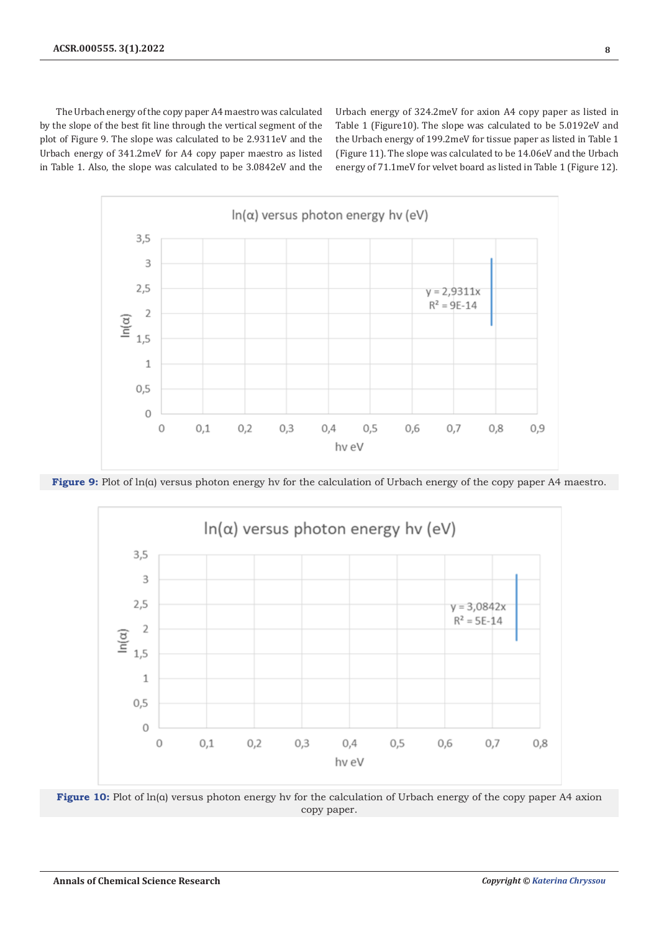The Urbach energy of the copy paper A4 maestro was calculated by the slope of the best fit line through the vertical segment of the plot of Figure 9. The slope was calculated to be 2.9311eV and the Urbach energy of 341.2meV for A4 copy paper maestro as listed in Table 1. Also, the slope was calculated to be 3.0842eV and the

Urbach energy of 324.2meV for axion A4 copy paper as listed in Table 1 (Figure10). The slope was calculated to be 5.0192eV and the Urbach energy of 199.2meV for tissue paper as listed in Table 1 (Figure 11). The slope was calculated to be 14.06eV and the Urbach energy of 71.1meV for velvet board as listed in Table 1 (Figure 12).



**Figure 9:** Plot of ln(α) versus photon energy hv for the calculation of Urbach energy of the copy paper A4 maestro.



**Figure 10:** Plot of ln(α) versus photon energy hv for the calculation of Urbach energy of the copy paper A4 axion copy paper.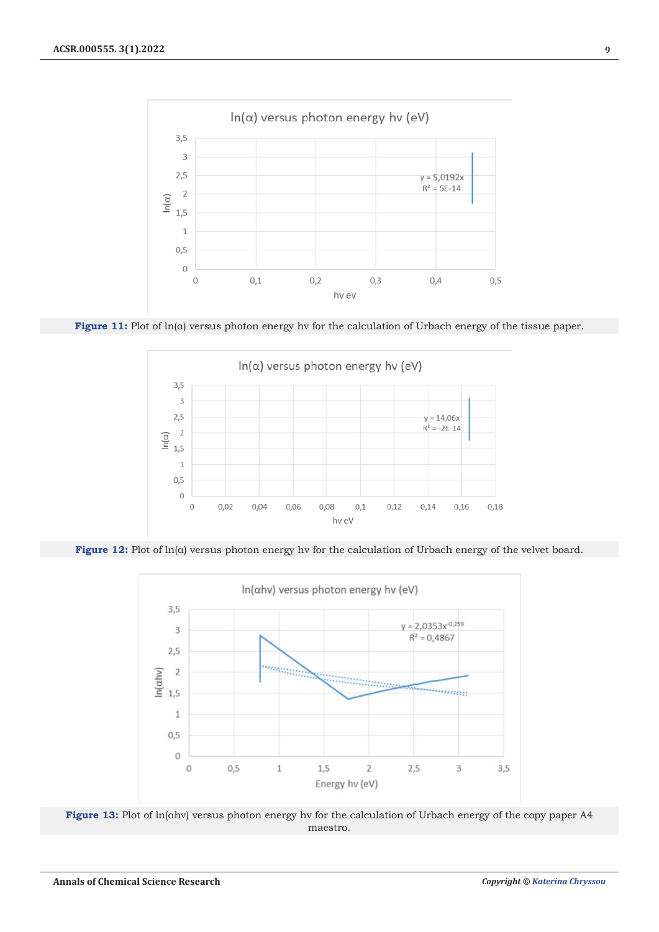

**Figure 11:** Plot of ln(α) versus photon energy hv for the calculation of Urbach energy of the tissue paper.



**Figure 12:** Plot of ln(α) versus photon energy hv for the calculation of Urbach energy of the velvet board.



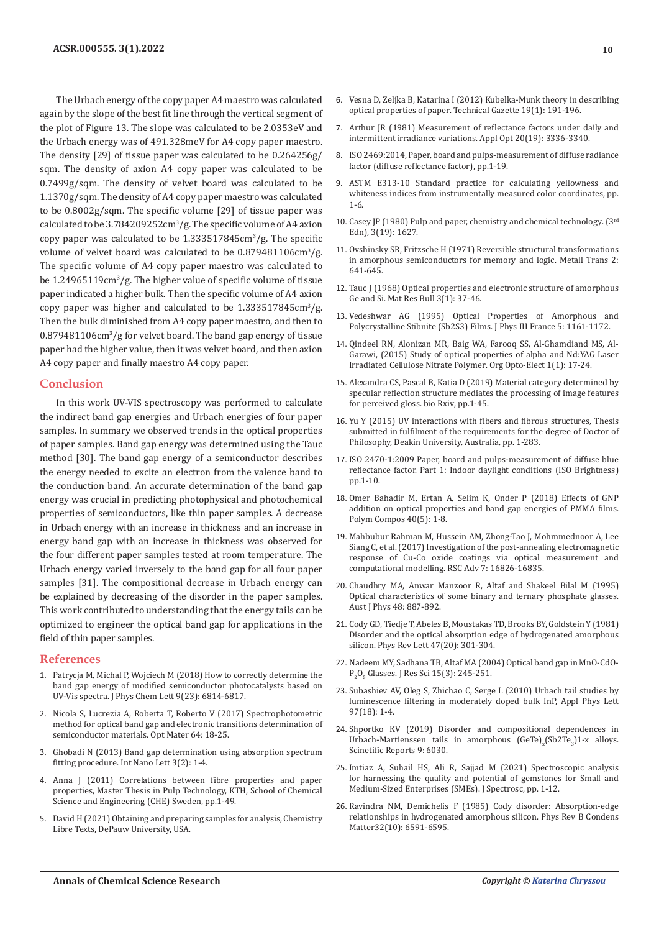The Urbach energy of the copy paper A4 maestro was calculated again by the slope of the best fit line through the vertical segment of the plot of Figure 13. The slope was calculated to be 2.0353eV and the Urbach energy was of 491.328meV for A4 copy paper maestro. The density [29] of tissue paper was calculated to be 0.264256g/ sqm. The density of axion Α4 copy paper was calculated to be 0.7499g/sqm. The density of velvet board was calculated to be 1.1370g/sqm. The density of A4 copy paper maestro was calculated to be 0.8002g/sqm. The specific volume [29] of tissue paper was calculated to be 3.784209252cm3 /g. The specific volume of A4 axion copy paper was calculated to be  $1.333517845cm^3/g$ . The specific volume of velvet board was calculated to be 0.879481106cm<sup>3</sup>/g. The specific volume of A4 copy paper maestro was calculated to be 1.24965119cm<sup>3</sup>/g. The higher value of specific volume of tissue paper indicated a higher bulk. Then the specific volume of A4 axion copy paper was higher and calculated to be  $1.333517845cm^3/g$ . Then the bulk diminished from A4 copy paper maestro, and then to 0.879481106cm3 /g for velvet board. The band gap energy of tissue paper had the higher value, then it was velvet board, and then axion A4 copy paper and finally maestro A4 copy paper.

#### **Conclusion**

In this work UV-VIS spectroscopy was performed to calculate the indirect band gap energies and Urbach energies of four paper samples. In summary we observed trends in the optical properties of paper samples. Band gap energy was determined using the Tauc method [30]. The band gap energy of a semiconductor describes the energy needed to excite an electron from the valence band to the conduction band. An accurate determination of the band gap energy was crucial in predicting photophysical and photochemical properties of semiconductors, like thin paper samples. A decrease in Urbach energy with an increase in thickness and an increase in energy band gap with an increase in thickness was observed for the four different paper samples tested at room temperature. The Urbach energy varied inversely to the band gap for all four paper samples [31]. The compositional decrease in Urbach energy can be explained by decreasing of the disorder in the paper samples. This work contributed to understanding that the energy tails can be optimized to engineer the optical band gap for applications in the field of thin paper samples.

### **References**

- 1. [Patrycja M, Michal P, Wojciech M \(2018\) How to correctly determine the](https://pubs.acs.org/doi/10.1021/acs.jpclett.8b02892)  [band gap energy of modified semiconductor photocatalysts based on](https://pubs.acs.org/doi/10.1021/acs.jpclett.8b02892)  [UV-Vis spectra. J Phys Chem Lett 9\(23\): 6814-6817.](https://pubs.acs.org/doi/10.1021/acs.jpclett.8b02892)
- 2. [Nicola S, Lucrezia A, Roberta T, Roberto V \(2017\) Spectrophotometric](https://www.sciencedirect.com/science/article/abs/pii/S0925346716306395)  [method for optical band gap and electronic transitions determination of](https://www.sciencedirect.com/science/article/abs/pii/S0925346716306395)  [semiconductor materials. Opt Mater 64: 18-25.](https://www.sciencedirect.com/science/article/abs/pii/S0925346716306395)
- 3. [Ghobadi N \(2013\) Band gap determination using absorption spectrum](https://link.springer.com/article/10.1186/2228-5326-3-2)  [fitting procedure. Int Nano Lett 3\(2\): 1-4.](https://link.springer.com/article/10.1186/2228-5326-3-2)
- 4. Anna J (2011) Correlations between fibre properties and paper properties, Master Thesis in Pulp Technology, KTH, School of Chemical Science and Engineering (CHE) Sweden, pp.1-49.
- 5. David H (2021) Obtaining and preparing samples for analysis, Chemistry Libre Texts, DePauw University, USA.

**10**

- 6. Vesna D, Zeljka B, Katarina I (2012) Kubelka-Munk theory in describing optical properties of paper. Technical Gazette 19(1): 191-196.
- 7. [Arthur JR \(1981\) Measurement of reflectance factors under daily and](https://pubmed.ncbi.nlm.nih.gov/20333152/) [intermittent irradiance variations. Appl Opt 20\(19\): 3336-3340.](https://pubmed.ncbi.nlm.nih.gov/20333152/)
- 8. ISO 2469:2014, Paper, board and pulps-measurement of diffuse radiance factor (diffuse reflectance factor), pp.1-19.
- 9. ASTM E313-10 Standard practice for calculating yellowness and whiteness indices from instrumentally measured color coordinates, pp. 1-6.
- 10. Casey JP (1980) Pulp and paper, chemistry and chemical technology. (3rd Edn), 3(19): 1627.
- 11. [Ovshinsky SR, Fritzsche H \(1971\) Reversible structural transformations](https://link.springer.com/article/10.1007/BF02662715) [in amorphous semiconductors for memory and logic. Metall Trans 2:](https://link.springer.com/article/10.1007/BF02662715) [641-645.](https://link.springer.com/article/10.1007/BF02662715)
- 12. [Tauc J \(1968\) Optical properties and electronic structure of amorphous](https://www.sciencedirect.com/science/article/abs/pii/0025540868900238) [Ge and Si. Mat Res Bull 3\(1\): 37-46.](https://www.sciencedirect.com/science/article/abs/pii/0025540868900238)
- 13. Vedeshwar AG (1995) Optical Properties of Amorphous and Polycrystalline Stibnite (Sb2S3) Films. J Phys III France 5: 1161-1172.
- 14. Qindeel RN, Alonizan MR, Baig WA, Farooq SS, Al-Ghamdiand MS, Al-Garawi, (2015) Study of optical properties of alpha and Nd:YAG Laser Irradiated Cellulose Nitrate Polymer. Org Opto-Elect 1(1): 17-24.
- 15. Alexandra CS, Pascal B, Katia D (2019) Material category determined by specular reflection structure mediates the processing of image features for perceived gloss. bio Rxiv, pp.1-45.
- 16. Yu Y (2015) UV interactions with fibers and fibrous structures, Thesis submitted in fulfilment of the requirements for the degree of Doctor of Philosophy, Deakin University, Australia, pp. 1-283.
- 17. ISO 2470-1:2009 Paper, board and pulps-measurement of diffuse blue reflectance factor. Part 1: Indoor daylight conditions (ISO Brightness) pp.1-10.
- 18. [Omer Bahadir M, Ertan A, Selim K, Onder P \(2018\) Effects of GNP](https://onlinelibrary.wiley.com/doi/abs/10.1002/pc.24948) [addition on optical properties and band gap energies of PMMA films.](https://onlinelibrary.wiley.com/doi/abs/10.1002/pc.24948) [Polym Compos 40\(5\): 1-8.](https://onlinelibrary.wiley.com/doi/abs/10.1002/pc.24948)
- 19. [Mahbubur Rahman M, Hussein AM, Zhong-Tao J, Mohmmednoor A, Lee](https://pubs.rsc.org/en/content/articlelanding/2017/ra/c6ra25626k) [Siang C, et al. \(2017\) Investigation of the post-annealing electromagnetic](https://pubs.rsc.org/en/content/articlelanding/2017/ra/c6ra25626k) [response of Cu-Co oxide coatings via optical measurement and](https://pubs.rsc.org/en/content/articlelanding/2017/ra/c6ra25626k) [computational modelling. RSC Adv 7: 16826-16835.](https://pubs.rsc.org/en/content/articlelanding/2017/ra/c6ra25626k)
- 20. [Chaudhry MA, Anwar Manzoor R, Altaf and Shakeel Bilal M \(1995\)](https://adsabs.harvard.edu/full/1995AuJPh..48..887A) [Optical characteristics of some binary and ternary phosphate glasses.](https://adsabs.harvard.edu/full/1995AuJPh..48..887A) [Aust J Phys 48: 887-892.](https://adsabs.harvard.edu/full/1995AuJPh..48..887A)
- 21. [Cody GD, Tiedje T, Abeles B, Moustakas TD, Brooks BY, Goldstein Y \(1981\)](https://journals.aps.org/prl/abstract/10.1103/PhysRevLett.47.1480) [Disorder and the optical absorption edge of hydrogenated amorphous](https://journals.aps.org/prl/abstract/10.1103/PhysRevLett.47.1480) [silicon. Phys Rev Lett 47\(20\): 301-304.](https://journals.aps.org/prl/abstract/10.1103/PhysRevLett.47.1480)
- 22. Nadeem MY, Sadhana TB, Altaf MA (2004) Optical band gap in MnO-CdO- $P_2O_5$  Glasses. J Res Sci 15(3): 245-251.
- 23. [Subashiev AV, Oleg S, Zhichao C, Serge L \(2010\) Urbach tail studies by](https://aip.scitation.org/doi/10.1063/1.3510470) [luminescence filtering in moderately doped bulk InP, Appl Phys Lett](https://aip.scitation.org/doi/10.1063/1.3510470) [97\(18\): 1-4.](https://aip.scitation.org/doi/10.1063/1.3510470)
- 24. Shportko KV (2019) Disorder and compositional dependences in Urbach-Martienssen tails in amorphous  $(GeTe)_x(Sb2Te_3)1-x$  alloys. Scinetific Reports 9: 6030.
- 25. Imtiaz A, Suhail HS, Ali R, Sajjad M (2021) Spectroscopic analysis for harnessing the quality and potential of gemstones for Small and Medium-Sized Enterprises (SMEs). J Spectrosc, pp. 1-12.
- 26. [Ravindra NM, Demichelis F \(1985\) Cody disorder: Absorption-edge](https://pubmed.ncbi.nlm.nih.gov/9936764/) [relationships in hydrogenated amorphous silicon. Phys Rev B Condens](https://pubmed.ncbi.nlm.nih.gov/9936764/) [Matter32\(10\): 6591-6595.](https://pubmed.ncbi.nlm.nih.gov/9936764/)